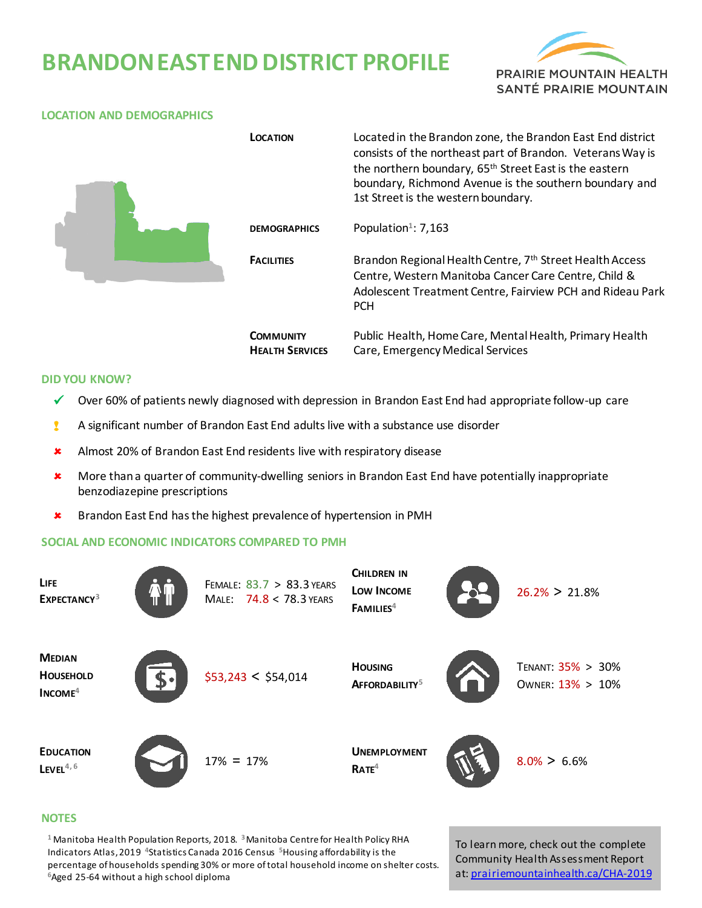# **BRANDON EAST END DISTRICT PROFILE**





### **DID YOU KNOW?**

- $\checkmark$  Over 60% of patients newly diagnosed with depression in Brandon East End had appropriate follow-up care
- ! A significant number of Brandon East End adults live with a substance use disorder
- **\*** Almost 20% of Brandon East End residents live with respiratory disease
- More than a quarter of community-dwelling seniors in Brandon East End have potentially inappropriate benzodiazepine prescriptions
- **\*** Brandon East End has the highest prevalence of hypertension in PMH

#### **SOCIAL AND ECONOMIC INDICATORS COMPARED TO PMH**



### **NOTES**

**<sup>1</sup>** Manitoba Health Population Reports, 2018. **<sup>3</sup>**Manitoba Centre for Health Policy RHA Indicators Atlas, 2019 **<sup>4</sup>**Statistics Canada 2016 Census **5**Housing affordability is the percentage of households spending 30% or more of total household income on shelter costs. **<sup>6</sup>**Aged 25-64 without a high school diploma

To learn more, check out the complete Community Health Assessment Report at[: prairiemountainhealth.ca/CHA-2019](https://prairiemountainhealth.ca/CHA-2019)

#### **LOCATION AND DEMOGRAPHICS**